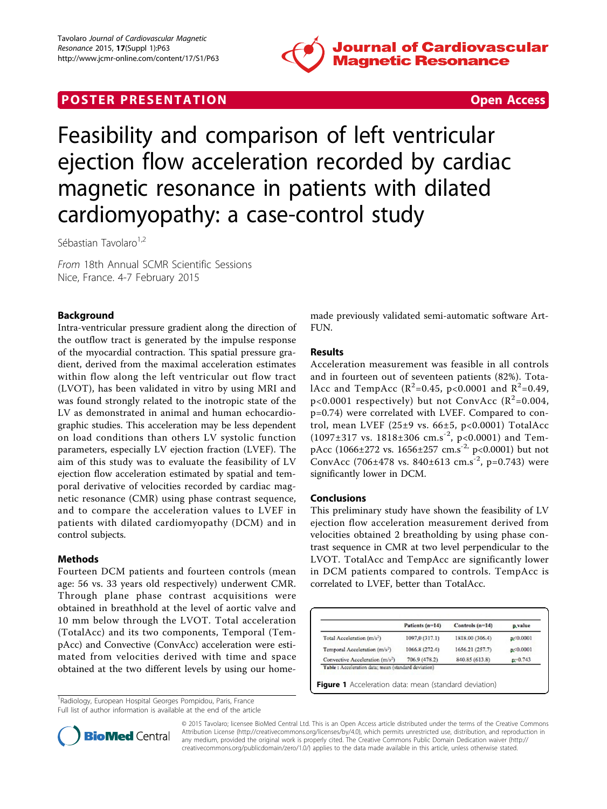

# **POSTER PRESENTATION CONSUMING THE SECOND CONSUMING THE SECOND CONSUMING THE SECOND CONSUMING THE SECOND CONSUMING THE SECOND CONSUMING THE SECOND CONSUMING THE SECOND CONSUMING THE SECOND CONSUMING THE SECOND CONSUMING**



Feasibility and comparison of left ventricular ejection flow acceleration recorded by cardiac magnetic resonance in patients with dilated cardiomyopathy: a case-control study

Sébastian Tavolaro<sup>1,2</sup>

From 18th Annual SCMR Scientific Sessions Nice, France. 4-7 February 2015

## Background

Intra-ventricular pressure gradient along the direction of the outflow tract is generated by the impulse response of the myocardial contraction. This spatial pressure gradient, derived from the maximal acceleration estimates within flow along the left ventricular out flow tract (LVOT), has been validated in vitro by using MRI and was found strongly related to the inotropic state of the LV as demonstrated in animal and human echocardiographic studies. This acceleration may be less dependent on load conditions than others LV systolic function parameters, especially LV ejection fraction (LVEF). The aim of this study was to evaluate the feasibility of LV ejection flow acceleration estimated by spatial and temporal derivative of velocities recorded by cardiac magnetic resonance (CMR) using phase contrast sequence, and to compare the acceleration values to LVEF in patients with dilated cardiomyopathy (DCM) and in control subjects.

## Methods

Fourteen DCM patients and fourteen controls (mean age: 56 vs. 33 years old respectively) underwent CMR. Through plane phase contrast acquisitions were obtained in breathhold at the level of aortic valve and 10 mm below through the LVOT. Total acceleration (TotalAcc) and its two components, Temporal (TempAcc) and Convective (ConvAcc) acceleration were estimated from velocities derived with time and space obtained at the two different levels by using our home-

<sup>1</sup>Radiology, European Hospital Georges Pompidou, Paris, France Full list of author information is available at the end of the article made previously validated semi-automatic software Art-FUN.

# **Results**

Acceleration measurement was feasible in all controls and in fourteen out of seventeen patients (82%). TotalAcc and TempAcc ( $R^2$ =0.45, p<0.0001 and  $R^2$ =0.49,  $p$ <0.0001 respectively) but not ConvAcc ( $R^2$ =0.004, p=0.74) were correlated with LVEF. Compared to control, mean LVEF (25±9 vs. 66±5, p<0.0001) TotalAcc  $(1097\pm317 \text{ vs. } 1818\pm306 \text{ cm.s}^{-2}, \text{ p<0.0001})$  and TempAcc (1066±272 vs. 1656±257 cm.s<sup>-2,</sup> p<0.0001) but not ConvAcc (706±478 vs. 840±613 cm.s<sup>-2</sup>, p=0.743) were significantly lower in DCM.

#### Conclusions

This preliminary study have shown the feasibility of LV ejection flow acceleration measurement derived from velocities obtained 2 breatholding by using phase contrast sequence in CMR at two level perpendicular to the LVOT. TotalAcc and TempAcc are significantly lower in DCM patients compared to controls. TempAcc is correlated to LVEF, better than TotalAcc.

|                                             | Patients (n=14) | Controls $(n=14)$ | p value     |
|---------------------------------------------|-----------------|-------------------|-------------|
| Total Acceleration (m/s <sup>2</sup> )      | 1097.0 (317.1)  | 1818.00 (306.4)   | R < 0.0001  |
| Temporal Acceleration (m/s <sup>2</sup> )   | 1066.8 (272.4)  | 1656.21 (257.7)   | R < 0.0001  |
| Convective Acceleration (m/s <sup>2</sup> ) | 706.9 (478.2)   | 840.85 (613.8)    | $p = 0.743$ |



© 2015 Tavolaro; licensee BioMed Central Ltd. This is an Open Access article distributed under the terms of the Creative Commons Attribution License [\(http://creativecommons.org/licenses/by/4.0](http://creativecommons.org/licenses/by/4.0)), which permits unrestricted use, distribution, and reproduction in any medium, provided the original work is properly cited. The Creative Commons Public Domain Dedication waiver [\(http://](http://creativecommons.org/publicdomain/zero/1.0/) [creativecommons.org/publicdomain/zero/1.0/](http://creativecommons.org/publicdomain/zero/1.0/)) applies to the data made available in this article, unless otherwise stated.